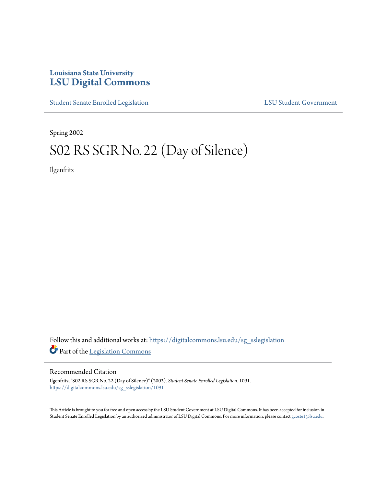## **Louisiana State University [LSU Digital Commons](https://digitalcommons.lsu.edu?utm_source=digitalcommons.lsu.edu%2Fsg_sslegislation%2F1091&utm_medium=PDF&utm_campaign=PDFCoverPages)**

[Student Senate Enrolled Legislation](https://digitalcommons.lsu.edu/sg_sslegislation?utm_source=digitalcommons.lsu.edu%2Fsg_sslegislation%2F1091&utm_medium=PDF&utm_campaign=PDFCoverPages) [LSU Student Government](https://digitalcommons.lsu.edu/sg?utm_source=digitalcommons.lsu.edu%2Fsg_sslegislation%2F1091&utm_medium=PDF&utm_campaign=PDFCoverPages)

Spring 2002

# S02 RS SGR No. 22 (Day of Silence)

Ilgenfritz

Follow this and additional works at: [https://digitalcommons.lsu.edu/sg\\_sslegislation](https://digitalcommons.lsu.edu/sg_sslegislation?utm_source=digitalcommons.lsu.edu%2Fsg_sslegislation%2F1091&utm_medium=PDF&utm_campaign=PDFCoverPages) Part of the [Legislation Commons](http://network.bepress.com/hgg/discipline/859?utm_source=digitalcommons.lsu.edu%2Fsg_sslegislation%2F1091&utm_medium=PDF&utm_campaign=PDFCoverPages)

#### Recommended Citation

Ilgenfritz, "S02 RS SGR No. 22 (Day of Silence)" (2002). *Student Senate Enrolled Legislation*. 1091. [https://digitalcommons.lsu.edu/sg\\_sslegislation/1091](https://digitalcommons.lsu.edu/sg_sslegislation/1091?utm_source=digitalcommons.lsu.edu%2Fsg_sslegislation%2F1091&utm_medium=PDF&utm_campaign=PDFCoverPages)

This Article is brought to you for free and open access by the LSU Student Government at LSU Digital Commons. It has been accepted for inclusion in Student Senate Enrolled Legislation by an authorized administrator of LSU Digital Commons. For more information, please contact [gcoste1@lsu.edu.](mailto:gcoste1@lsu.edu)